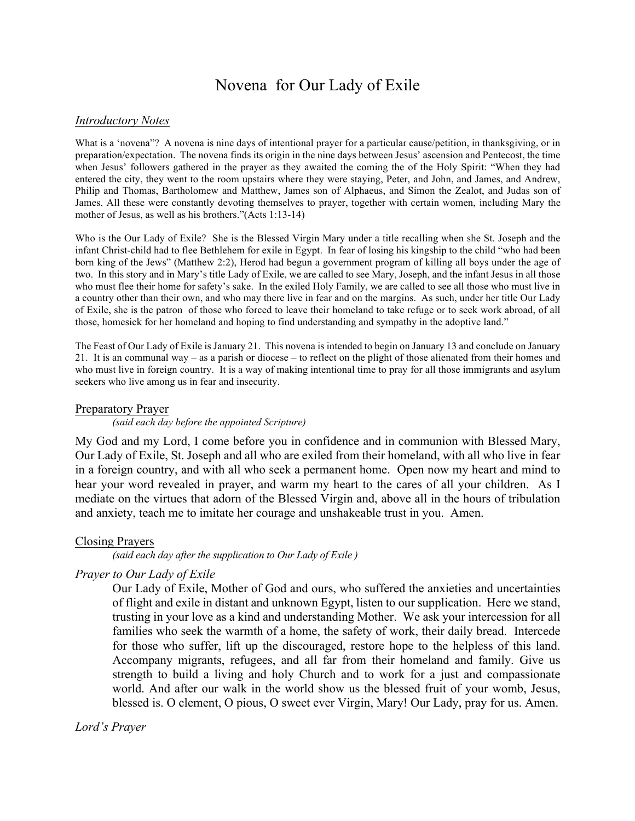# Novena for Our Lady of Exile

#### *Introductory Notes*

What is a 'novena'? A novena is nine days of intentional prayer for a particular cause/petition, in thanksgiving, or in preparation/expectation. The novena finds its origin in the nine days between Jesus' ascension and Pentecost, the time when Jesus' followers gathered in the prayer as they awaited the coming the of the Holy Spirit: "When they had entered the city, they went to the room upstairs where they were staying, Peter, and John, and James, and Andrew, Philip and Thomas, Bartholomew and Matthew, James son of Alphaeus, and Simon the Zealot, and Judas son of James. All these were constantly devoting themselves to prayer, together with certain women, including Mary the mother of Jesus, as well as his brothers."(Acts 1:13-14)

Who is the Our Lady of Exile? She is the Blessed Virgin Mary under a title recalling when she St. Joseph and the infant Christ-child had to flee Bethlehem for exile in Egypt. In fear of losing his kingship to the child "who had been born king of the Jews" (Matthew 2:2), Herod had begun a government program of killing all boys under the age of two. In this story and in Mary's title Lady of Exile, we are called to see Mary, Joseph, and the infant Jesus in all those who must flee their home for safety's sake. In the exiled Holy Family, we are called to see all those who must live in a country other than their own, and who may there live in fear and on the margins. As such, under her title Our Lady of Exile, she is the patron of those who forced to leave their homeland to take refuge or to seek work abroad, of all those, homesick for her homeland and hoping to find understanding and sympathy in the adoptive land."

The Feast of Our Lady of Exile is January 21. This novena is intended to begin on January 13 and conclude on January 21. It is an communal way – as a parish or diocese – to reflect on the plight of those alienated from their homes and who must live in foreign country. It is a way of making intentional time to pray for all those immigrants and asylum seekers who live among us in fear and insecurity.

#### Preparatory Prayer

*(said each day before the appointed Scripture)*

My God and my Lord, I come before you in confidence and in communion with Blessed Mary, Our Lady of Exile, St. Joseph and all who are exiled from their homeland, with all who live in fear in a foreign country, and with all who seek a permanent home. Open now my heart and mind to hear your word revealed in prayer, and warm my heart to the cares of all your children. As I mediate on the virtues that adorn of the Blessed Virgin and, above all in the hours of tribulation and anxiety, teach me to imitate her courage and unshakeable trust in you. Amen.

#### Closing Prayers

*(said each day after the supplication to Our Lady of Exile )*

#### *Prayer to Our Lady of Exile*

Our Lady of Exile, Mother of God and ours, who suffered the anxieties and uncertainties of flight and exile in distant and unknown Egypt, listen to our supplication. Here we stand, trusting in your love as a kind and understanding Mother. We ask your intercession for all families who seek the warmth of a home, the safety of work, their daily bread. Intercede for those who suffer, lift up the discouraged, restore hope to the helpless of this land. Accompany migrants, refugees, and all far from their homeland and family. Give us strength to build a living and holy Church and to work for a just and compassionate world. And after our walk in the world show us the blessed fruit of your womb, Jesus, blessed is. O clement, O pious, O sweet ever Virgin, Mary! Our Lady, pray for us. Amen.

*Lord's Prayer*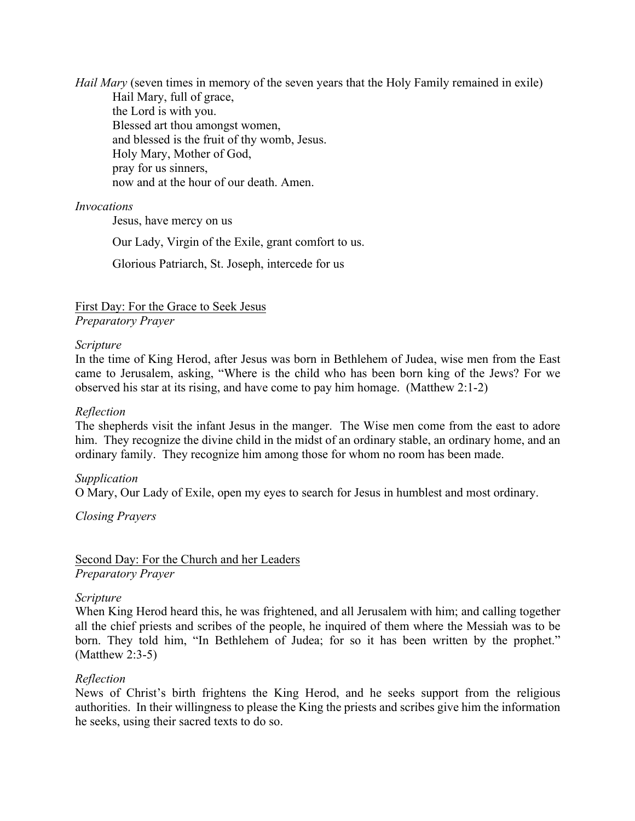*Hail Mary* (seven times in memory of the seven years that the Holy Family remained in exile) Hail Mary, full of grace, the Lord is with you. Blessed art thou amongst women, and blessed is the fruit of thy womb, Jesus. Holy Mary, Mother of God, pray for us sinners, now and at the hour of our death. Amen.

# *Invocations*

Jesus, have mercy on us

Our Lady, Virgin of the Exile, grant comfort to us.

Glorious Patriarch, St. Joseph, intercede for us

First Day: For the Grace to Seek Jesus *Preparatory Prayer*

# *Scripture*

In the time of King Herod, after Jesus was born in Bethlehem of Judea, wise men from the East came to Jerusalem, asking, "Where is the child who has been born king of the Jews? For we observed his star at its rising, and have come to pay him homage. (Matthew 2:1-2)

### *Reflection*

The shepherds visit the infant Jesus in the manger. The Wise men come from the east to adore him. They recognize the divine child in the midst of an ordinary stable, an ordinary home, and an ordinary family. They recognize him among those for whom no room has been made.

# *Supplication*

O Mary, Our Lady of Exile, open my eyes to search for Jesus in humblest and most ordinary.

*Closing Prayers*

Second Day: For the Church and her Leaders *Preparatory Prayer*

#### *Scripture*

When King Herod heard this, he was frightened, and all Jerusalem with him; and calling together all the chief priests and scribes of the people, he inquired of them where the Messiah was to be born. They told him, "In Bethlehem of Judea; for so it has been written by the prophet." (Matthew 2:3-5)

#### *Reflection*

News of Christ's birth frightens the King Herod, and he seeks support from the religious authorities. In their willingness to please the King the priests and scribes give him the information he seeks, using their sacred texts to do so.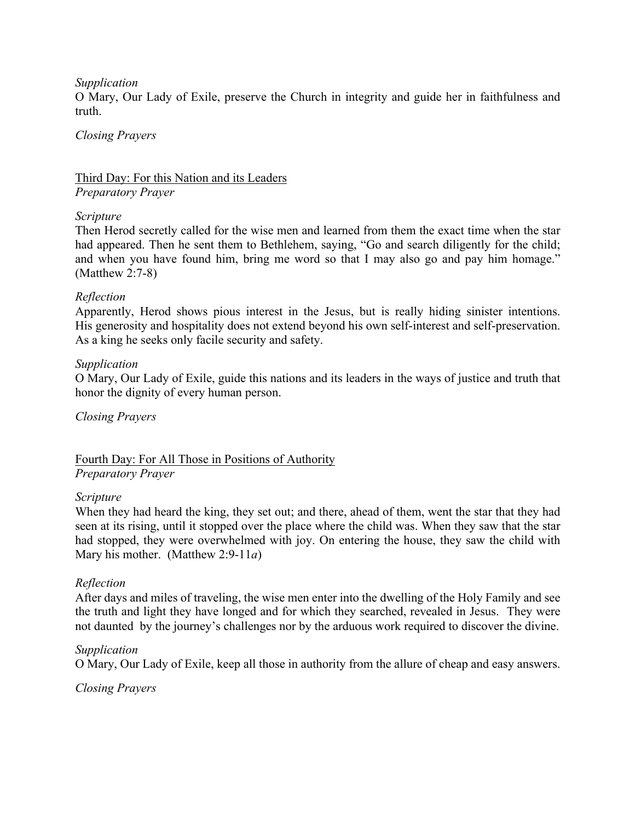# *Supplication*

O Mary, Our Lady of Exile, preserve the Church in integrity and guide her in faithfulness and truth.

### *Closing Prayers*

# Third Day: For this Nation and its Leaders *Preparatory Prayer*

### *Scripture*

Then Herod secretly called for the wise men and learned from them the exact time when the star had appeared. Then he sent them to Bethlehem, saying, "Go and search diligently for the child; and when you have found him, bring me word so that I may also go and pay him homage." (Matthew 2:7-8)

# *Reflection*

Apparently, Herod shows pious interest in the Jesus, but is really hiding sinister intentions. His generosity and hospitality does not extend beyond his own self-interest and self-preservation. As a king he seeks only facile security and safety.

### *Supplication*

O Mary, Our Lady of Exile, guide this nations and its leaders in the ways of justice and truth that honor the dignity of every human person.

*Closing Prayers*

Fourth Day: For All Those in Positions of Authority *Preparatory Prayer*

# *Scripture*

When they had heard the king, they set out; and there, ahead of them, went the star that they had seen at its rising, until it stopped over the place where the child was. When they saw that the star had stopped, they were overwhelmed with joy. On entering the house, they saw the child with Mary his mother. (Matthew 2:9-11*a*)

# *Reflection*

After days and miles of traveling, the wise men enter into the dwelling of the Holy Family and see the truth and light they have longed and for which they searched, revealed in Jesus. They were not daunted by the journey's challenges nor by the arduous work required to discover the divine.

# *Supplication*

O Mary, Our Lady of Exile, keep all those in authority from the allure of cheap and easy answers.

# *Closing Prayers*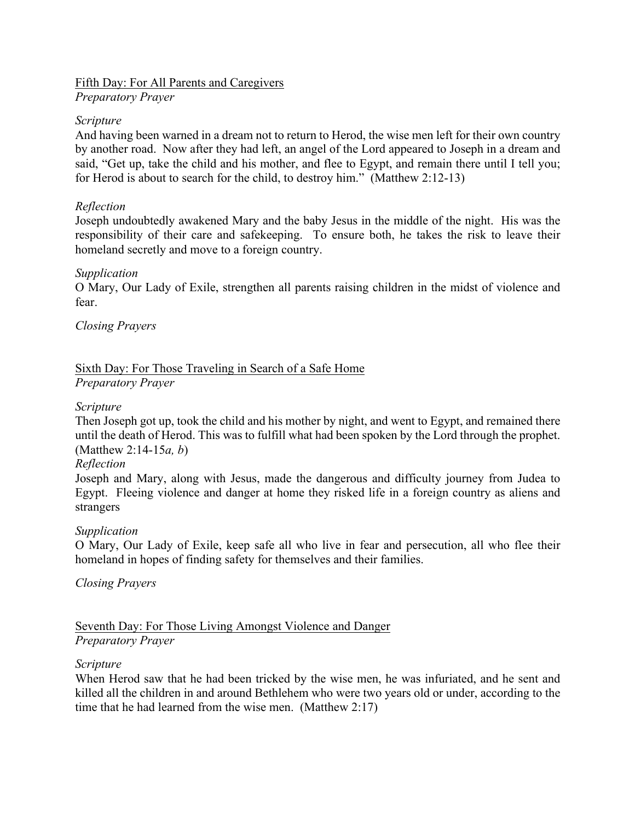# Fifth Day: For All Parents and Caregivers

*Preparatory Prayer*

# *Scripture*

And having been warned in a dream not to return to Herod, the wise men left for their own country by another road. Now after they had left, an angel of the Lord appeared to Joseph in a dream and said, "Get up, take the child and his mother, and flee to Egypt, and remain there until I tell you; for Herod is about to search for the child, to destroy him." (Matthew 2:12-13)

# *Reflection*

Joseph undoubtedly awakened Mary and the baby Jesus in the middle of the night. His was the responsibility of their care and safekeeping. To ensure both, he takes the risk to leave their homeland secretly and move to a foreign country.

# *Supplication*

O Mary, Our Lady of Exile, strengthen all parents raising children in the midst of violence and fear.

# *Closing Prayers*

# Sixth Day: For Those Traveling in Search of a Safe Home *Preparatory Prayer*

# *Scripture*

Then Joseph got up, took the child and his mother by night, and went to Egypt, and remained there until the death of Herod. This was to fulfill what had been spoken by the Lord through the prophet. (Matthew 2:14-15*a, b*)

# *Reflection*

Joseph and Mary, along with Jesus, made the dangerous and difficulty journey from Judea to Egypt. Fleeing violence and danger at home they risked life in a foreign country as aliens and strangers

# *Supplication*

O Mary, Our Lady of Exile, keep safe all who live in fear and persecution, all who flee their homeland in hopes of finding safety for themselves and their families.

# *Closing Prayers*

# Seventh Day: For Those Living Amongst Violence and Danger *Preparatory Prayer*

# *Scripture*

When Herod saw that he had been tricked by the wise men, he was infuriated, and he sent and killed all the children in and around Bethlehem who were two years old or under, according to the time that he had learned from the wise men. (Matthew 2:17)